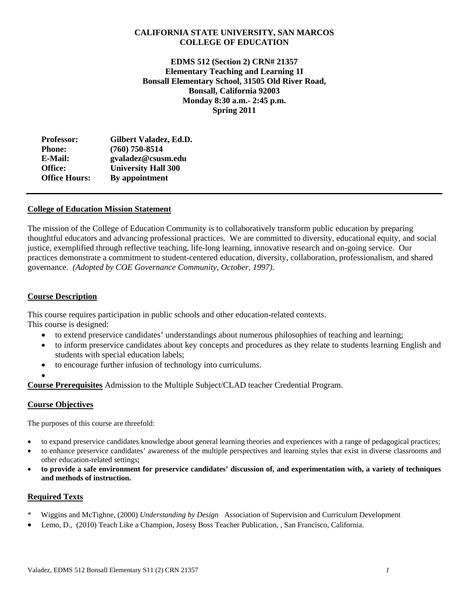## **CALIFORNIA STATE UNIVERSITY, SAN MARCOS COLLEGE OF EDUCATION**

 **Monday 8:30 a.m.- 2:45 p.m. EDMS 512 (Section 2) CRN# 21357 Elementary Teaching and Learning 1I Bonsall Elementary School, 31505 Old River Road, Bonsall, California 92003 Spring 2011**

| Gilbert Valadez, Ed.D.     |
|----------------------------|
| $(760)$ 750-8514           |
| gvaladez@csusm.edu         |
| <b>University Hall 300</b> |
| By appointment             |
|                            |

## **College of Education Mission Statement**

The mission of the College of Education Community is to collaboratively transform public education by preparing thoughtful educators and advancing professional practices. We are committed to diversity, educational equity, and social justice, exemplified through reflective teaching, life-long learning, innovative research and on-going service. Our practices demonstrate a commitment to student-centered education, diversity, collaboration, professionalism, and shared governance. *(Adopted by COE Governance Community, October, 1997).* 

## **Course Description**

This course requires participation in public schools and other education-related contexts. This course is designed:

- to extend preservice candidates' understandings about numerous philosophies of teaching and learning;
- to inform preservice candidates about key concepts and procedures as they relate to students learning English and students with special education labels;
- to encourage further infusion of technology into curriculums.
- $\bullet$

**Course Prerequisites** Admission to the Multiple Subject/CLAD teacher Credential Program.

### **Course Objectives**

The purposes of this course are threefold:

- to expand preservice candidates knowledge about general learning theories and experiences with a range of pedagogical practices;
- to enhance preservice candidates' awareness of the multiple perspectives and learning styles that exist in diverse classrooms and other education-related settings;
- **to provide a safe environment for preservice candidates' discussion of, and experimentation with, a variety of techniques and methods of instruction.**

### **Required Texts**

- \* Wiggins and McTighne, (2000) *Understanding by Design* Association of Supervision and Curriculum Development
- Lemo, D., (2010) Teach Like a Champion, Josesy Boss Teacher Publication, , San Francisco, California.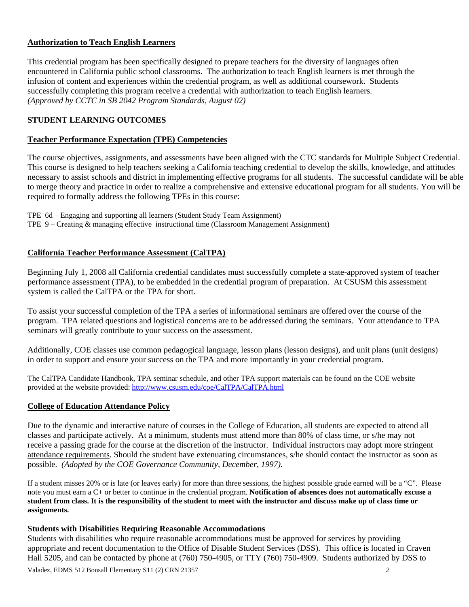## **Authorization to Teach English Learners**

This credential program has been specifically designed to prepare teachers for the diversity of languages often encountered in California public school classrooms. The authorization to teach English learners is met through the infusion of content and experiences within the credential program, as well as additional coursework. Students successfully completing this program receive a credential with authorization to teach English learners. *(Approved by CCTC in SB 2042 Program Standards, August 02)* 

## **STUDENT LEARNING OUTCOMES**

## **Teacher Performance Expectation (TPE) Competencies**

The course objectives, assignments, and assessments have been aligned with the CTC standards for Multiple Subject Credential. This course is designed to help teachers seeking a California teaching credential to develop the skills, knowledge, and attitudes necessary to assist schools and district in implementing effective programs for all students. The successful candidate will be able to merge theory and practice in order to realize a comprehensive and extensive educational program for all students. You will be required to formally address the following TPEs in this course:

 TPE 6d – Engaging and supporting all learners (Student Study Team Assignment) TPE 9 – Creating & managing effective instructional time (Classroom Management Assignment)

## **California Teacher Performance Assessment (CalTPA)**

Beginning July 1, 2008 all California credential candidates must successfully complete a state-approved system of teacher performance assessment (TPA), to be embedded in the credential program of preparation. At CSUSM this assessment system is called the CalTPA or the TPA for short.

seminars will greatly contribute to your success on the assessment. To assist your successful completion of the TPA a series of informational seminars are offered over the course of the program. TPA related questions and logistical concerns are to be addressed during the seminars. Your attendance to TPA

Additionally, COE classes use common pedagogical language, lesson plans (lesson designs), and unit plans (unit designs) in order to support and ensure your success on the TPA and more importantly in your credential program.

The CalTPA Candidate Handbook, TPA seminar schedule, and other TPA support materials can be found on the COE website provided at the website provided: http://www.csusm.edu/coe/CalTPA/CalTPA.html

## **College of Education Attendance Policy**

 possible. *(Adopted by the COE Governance Community, December, 1997).* Due to the dynamic and interactive nature of courses in the College of Education, all students are expected to attend all classes and participate actively. At a minimum, students must attend more than 80% of class time, or s/he may not receive a passing grade for the course at the discretion of the instructor. Individual instructors may adopt more stringent attendance requirements. Should the student have extenuating circumstances, s/he should contact the instructor as soon as

 If a student misses 20% or is late (or leaves early) for more than three sessions, the highest possible grade earned will be a "C". Please note you must earn a C+ or better to continue in the credential program. **Notification of absences does not automatically excuse a student from class. It is the responsibility of the student to meet with the instructor and discuss make up of class time or assignments.** 

## **Students with Disabilities Requiring Reasonable Accommodations**

Students with disabilities who require reasonable accommodations must be approved for services by providing appropriate and recent documentation to the Office of Disable Student Services (DSS). This office is located in Craven Hall 5205, and can be contacted by phone at (760) 750-4905, or TTY (760) 750-4909. Students authorized by DSS to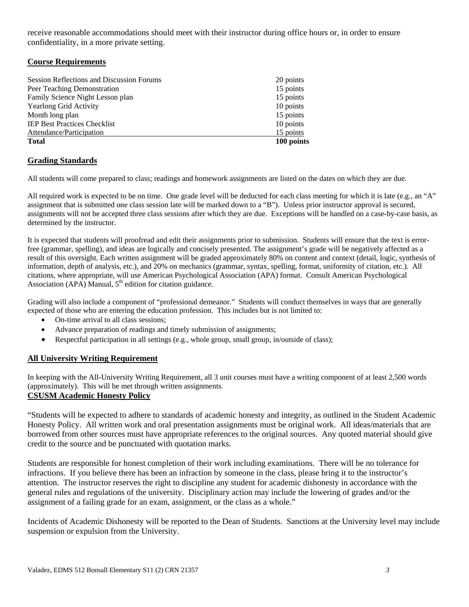receive reasonable accommodations should meet with their instructor during office hours or, in order to ensure confidentiality, in a more private setting.

## **Course Requirements**

| <b>Session Reflections and Discussion Forums</b> | 20 points  |
|--------------------------------------------------|------------|
| Peer Teaching Demonstration                      | 15 points  |
| Family Science Night Lesson plan                 | 15 points  |
| <b>Yearlong Grid Activity</b>                    | 10 points  |
| Month long plan                                  | 15 points  |
| <b>IEP Best Practices Checklist</b>              | 10 points  |
| Attendance/Participation                         | 15 points  |
| <b>Total</b>                                     | 100 points |

## **Grading Standards**

All students will come prepared to class; readings and homework assignments are listed on the dates on which they are due.

All required work is expected to be on time. One grade level will be deducted for each class meeting for which it is late (e.g., an "A" assignment that is submitted one class session late will be marked down to a "B"). Unless prior instructor approval is secured, assignments will not be accepted three class sessions after which they are due. Exceptions will be handled on a case-by-case basis, as determined by the instructor.

 It is expected that students will proofread and edit their assignments prior to submission. Students will ensure that the text is error- information, depth of analysis, etc.), and 20% on mechanics (grammar, syntax, spelling, format, uniformity of citation, etc.). All free (grammar, spelling), and ideas are logically and concisely presented. The assignment's grade will be negatively affected as a result of this oversight. Each written assignment will be graded approximately 80% on content and context (detail, logic, synthesis of citations, where appropriate, will use American Psychological Association (APA) format. Consult American Psychological Association (APA) Manual,  $5<sup>th</sup>$  edition for citation guidance.

Grading will also include a component of "professional demeanor." Students will conduct themselves in ways that are generally expected of those who are entering the education profession. This includes but is not limited to:

- On-time arrival to all class sessions:
- Advance preparation of readings and timely submission of assignments;
- Respectful participation in all settings (e.g., whole group, small group, in/outside of class);

## **All University Writing Requirement**

 (approximately). This will be met through written assignments. In keeping with the All-University Writing Requirement, all 3 unit courses must have a writing component of at least 2,500 words

## **CSUSM Academic Honesty Policy**

"Students will be expected to adhere to standards of academic honesty and integrity, as outlined in the Student Academic Honesty Policy. All written work and oral presentation assignments must be original work. All ideas/materials that are borrowed from other sources must have appropriate references to the original sources. Any quoted material should give credit to the source and be punctuated with quotation marks.

Students are responsible for honest completion of their work including examinations. There will be no tolerance for infractions. If you believe there has been an infraction by someone in the class, please bring it to the instructor's attention. The instructor reserves the right to discipline any student for academic dishonesty in accordance with the general rules and regulations of the university. Disciplinary action may include the lowering of grades and/or the assignment of a failing grade for an exam, assignment, or the class as a whole."

Incidents of Academic Dishonesty will be reported to the Dean of Students. Sanctions at the University level may include suspension or expulsion from the University.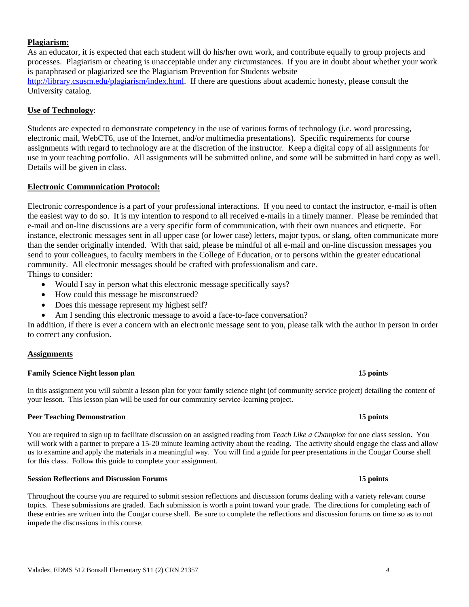#### Valadez, EDMS 512 Bonsall Elementary S11 (2) CRN 21357 *4*

### **Plagiarism:**

As an educator, it is expected that each student will do his/her own work, and contribute equally to group projects and processes. Plagiarism or cheating is unacceptable under any circumstances. If you are in doubt about whether your work is paraphrased or plagiarized see the Plagiarism Prevention for Students website http://library.csusm.edu/plagiarism/index.html. If there are questions about academic honesty, please consult the University catalog.

#### **Use of Technology**:

Students are expected to demonstrate competency in the use of various forms of technology (i.e. word processing, electronic mail, WebCT6, use of the Internet, and/or multimedia presentations). Specific requirements for course assignments with regard to technology are at the discretion of the instructor. Keep a digital copy of all assignments for use in your teaching portfolio. All assignments will be submitted online, and some will be submitted in hard copy as well. Details will be given in class.

#### **Electronic Communication Protocol:**

Electronic correspondence is a part of your professional interactions. If you need to contact the instructor, e-mail is often the easiest way to do so. It is my intention to respond to all received e-mails in a timely manner. Please be reminded that e-mail and on-line discussions are a very specific form of communication, with their own nuances and etiquette. For instance, electronic messages sent in all upper case (or lower case) letters, major typos, or slang, often communicate more than the sender originally intended. With that said, please be mindful of all e-mail and on-line discussion messages you send to your colleagues, to faculty members in the College of Education, or to persons within the greater educational community. All electronic messages should be crafted with professionalism and care.

Things to consider:

- Would I say in person what this electronic message specifically says?
- How could this message be misconstrued?
- Does this message represent my highest self?
- Am I sending this electronic message to avoid a face-to-face conversation?

In addition, if there is ever a concern with an electronic message sent to you, please talk with the author in person in order to correct any confusion.

### **Assignments**

#### **Family Science Night lesson plan 15 points 15 points 15 points**

 your lesson. This lesson plan will be used for our community service-learning project. In this assignment you will submit a lesson plan for your family science night (of community service project) detailing the content of

#### **Peer Teaching Demonstration 15 points 15 points 15 points**

 You are required to sign up to facilitate discussion on an assigned reading from *Teach Like a Champion* for one class session. You will work with a partner to prepare a 15-20 minute learning activity about the reading. The activity should engage the class and allow us to examine and apply the materials in a meaningful way. You will find a guide for peer presentations in the Cougar Course shell for this class. Follow this guide to complete your assignment.

## **Session Reflections and Discussion Forums 15 points**

 these entries are written into the Cougar course shell. Be sure to complete the reflections and discussion forums on time so as to not Throughout the course you are required to submit session reflections and discussion forums dealing with a variety relevant course topics. These submissions are graded. Each submission is worth a point toward your grade. The directions for completing each of impede the discussions in this course.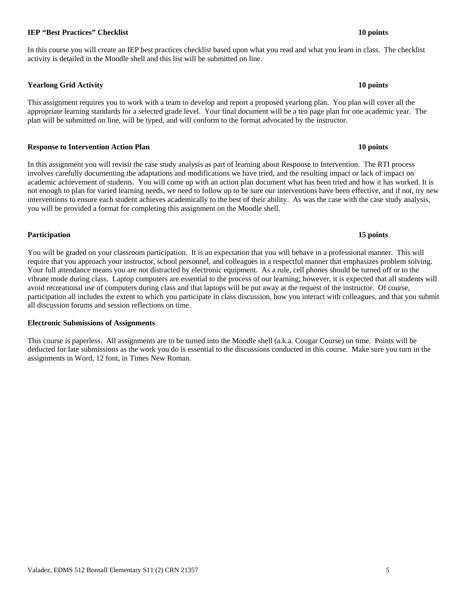## Valadez, EDMS 512 Bonsall Elementary S11 (2) CRN 21357 *5*

## **IEP "Best Practices" Checklist** 10 points **10 points 10 points**

## In this course you will create an IEP best practices checklist based upon what you read and what you learn in class. The checklist activity is detailed in the Moodle shell and this list will be submitted on line.

# **Yearlong Grid Activity 10 points**

This assignment requires you to work with a team to develop and report a proposed yearlong plan. You plan will cover all the appropriate learning standards for a selected grade level. Your final document will be a ten page plan for one academic year. The plan will be submitted on line, will be typed, and will conform to the format advocated by the instructor.

## **Response to Intervention Action Plan 10 points 10 points 10 points in the U.S. 10 points in the U.S. 10 points in the U.S. 10 points in the U.S. 10 points in the U.S. 10 points in the U.S. 10 points in the U.S. 10 points**

 you will be provided a format for completing this assignment on the Moodle shell. In this assignment you will revisit the case study analysis as part of learning about Response to Intervention. The RTI process involves carefully documenting the adaptations and modifications we have tried, and the resulting impact or lack of impact on academic achievement of students. You will come up with an action plan document what has been tried and how it has worked. It is not enough to plan for varied learning needs, we need to follow up to be sure our interventions have been effective, and if not, try new interventions to ensure each student achieves academically to the best of their ability. As was the case with the case study analysis,

### **Participation 15 points**

 You will be graded on your classroom participation. It is an expectation that you will behave in a professional manner. This will require that you approach your instructor, school personnel, and colleagues in a respectful manner that emphasizes problem solving. participation all includes the extent to which you participate in class discussion, how you interact with colleagues, and that you submit Your full attendance means you are not distracted by electronic equipment. As a rule, cell phones should be turned off or to the vibrate mode during class. Laptop computers are essential to the process of our learning; however, it is expected that all students will avoid recreational use of computers during class and that laptops will be put away at the request of the instructor. Of course, all discussion forums and session reflections on time.

### **Electronic Submissions of Assignments**

 assignments in Word, 12 font, in Times New Roman. This course is paperless. All assignments are to be turned into the Moodle shell (a.k.a. Cougar Course) on time. Points will be deducted for late submissions as the work you do is essential to the discussions conducted in this course. Make sure you turn in the

#### 15 points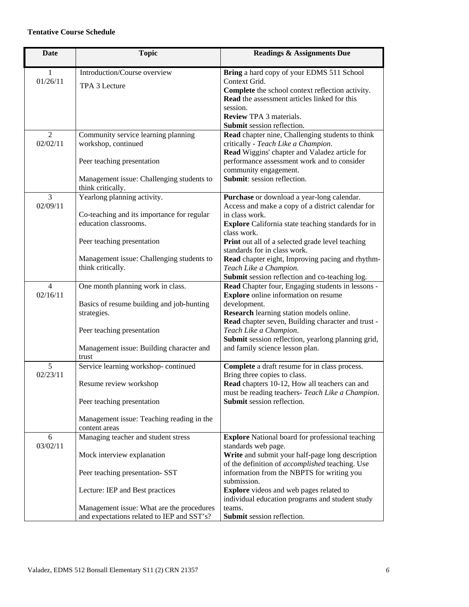## **Tentative Course Schedule**

| <b>Date</b>                | <b>Topic</b>                                                                                       | <b>Readings &amp; Assignments Due</b>                                                                                                                                                                                   |
|----------------------------|----------------------------------------------------------------------------------------------------|-------------------------------------------------------------------------------------------------------------------------------------------------------------------------------------------------------------------------|
| 1<br>01/26/11              | Introduction/Course overview<br>TPA 3 Lecture                                                      | Bring a hard copy of your EDMS 511 School<br>Context Grid.<br>Complete the school context reflection activity.<br>Read the assessment articles linked for this<br>session.<br><b>Review TPA 3 materials.</b>            |
| $\overline{2}$             |                                                                                                    | Submit session reflection.<br>Read chapter nine, Challenging students to think                                                                                                                                          |
| 02/02/11                   | Community service learning planning<br>workshop, continued<br>Peer teaching presentation           | critically - Teach Like a Champion.<br>Read Wiggins' chapter and Valadez article for<br>performance assessment work and to consider                                                                                     |
|                            | Management issue: Challenging students to<br>think critically.                                     | community engagement.<br>Submit: session reflection.                                                                                                                                                                    |
| 3<br>02/09/11              | Yearlong planning activity.<br>Co-teaching and its importance for regular<br>education classrooms. | Purchase or download a year-long calendar.<br>Access and make a copy of a district calendar for<br>in class work.<br><b>Explore</b> California state teaching standards for in                                          |
|                            | Peer teaching presentation                                                                         | class work.<br>Print out all of a selected grade level teaching<br>standards for in class work.                                                                                                                         |
|                            | Management issue: Challenging students to<br>think critically.                                     | Read chapter eight, Improving pacing and rhythm-<br>Teach Like a Champion.<br>Submit session reflection and co-teaching log.                                                                                            |
| $\overline{4}$<br>02/16/11 | One month planning work in class.<br>Basics of resume building and job-hunting<br>strategies.      | Read Chapter four, Engaging students in lessons -<br><b>Explore</b> online information on resume<br>development.<br>Research learning station models online.                                                            |
|                            | Peer teaching presentation<br>Management issue: Building character and                             | Read chapter seven, Building character and trust -<br>Teach Like a Champion.<br>Submit session reflection, yearlong planning grid,<br>and family science lesson plan.                                                   |
|                            | trust                                                                                              |                                                                                                                                                                                                                         |
| 5<br>02/23/11              | Service learning workshop-continued<br>Resume review workshop<br>Peer teaching presentation        | Complete a draft resume for in class process.<br>Bring three copies to class.<br>Read chapters 10-12, How all teachers can and<br>must be reading teachers- Teach Like a Champion.<br><b>Submit</b> session reflection. |
|                            | Management issue: Teaching reading in the<br>content areas                                         |                                                                                                                                                                                                                         |
| 6                          | Managing teacher and student stress                                                                | <b>Explore</b> National board for professional teaching                                                                                                                                                                 |
| 03/02/11                   | Mock interview explanation<br>Peer teaching presentation- SST                                      | standards web page.<br>Write and submit your half-page long description<br>of the definition of accomplished teaching. Use<br>information from the NBPTS for writing you                                                |
|                            | Lecture: IEP and Best practices                                                                    | submission.<br><b>Explore</b> videos and web pages related to<br>individual education programs and student study                                                                                                        |
|                            | Management issue: What are the procedures<br>and expectations related to IEP and SST's?            | teams.<br>Submit session reflection.                                                                                                                                                                                    |